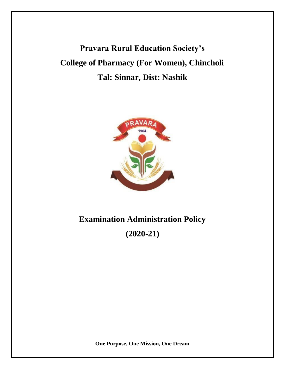**Pravara Rural Education Society's College of Pharmacy (For Women), Chincholi Tal: Sinnar, Dist: Nashik**



# **Examination Administration Policy**

**(2020-21)**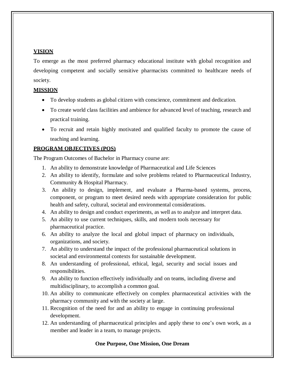## **VISION**

To emerge as the most preferred pharmacy educational institute with global recognition and developing competent and socially sensitive pharmacists committed to healthcare needs of society.

## **MISSION**

- To develop students as global citizen with conscience, commitment and dedication.
- To create world class facilities and ambience for advanced level of teaching, research and practical training.
- To recruit and retain highly motivated and qualified faculty to promote the cause of teaching and learning.

### **PROGRAM OBJECTIVES (POS)**

The Program Outcomes of Bachelor in Pharmacy course are:

- 1. An ability to demonstrate knowledge of Pharmaceutical and Life Sciences
- 2. An ability to identify, formulate and solve problems related to Pharmaceutical Industry, Community & Hospital Pharmacy.
- 3. An ability to design, implement, and evaluate a Pharma-based systems, process, component, or program to meet desired needs with appropriate consideration for public health and safety, cultural, societal and environmental considerations.
- 4. An ability to design and conduct experiments, as well as to analyze and interpret data.
- 5. An ability to use current techniques, skills, and modern tools necessary for pharmaceutical practice.
- 6. An ability to analyze the local and global impact of pharmacy on individuals, organizations, and society.
- 7. An ability to understand the impact of the professional pharmaceutical solutions in societal and environmental contexts for sustainable development.
- 8. An understanding of professional, ethical, legal, security and social issues and responsibilities.
- 9. An ability to function effectively individually and on teams, including diverse and multidisciplinary, to accomplish a common goal.
- 10. An ability to communicate effectively on complex pharmaceutical activities with the pharmacy community and with the society at large.
- 11. Recognition of the need for and an ability to engage in continuing professional development.
- 12. An understanding of pharmaceutical principles and apply these to one's own work, as a member and leader in a team, to manage projects.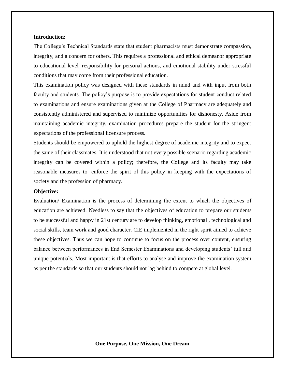#### **Introduction:**

The College's Technical Standards state that student pharmacists must demonstrate compassion, integrity, and a concern for others. This requires a professional and ethical demeanor appropriate to educational level, responsibility for personal actions, and emotional stability under stressful conditions that may come from their professional education.

This examination policy was designed with these standards in mind and with input from both faculty and students. The policy's purpose is to provide expectations for student conduct related to examinations and ensure examinations given at the College of Pharmacy are adequately and consistently administered and supervised to minimize opportunities for dishonesty. Aside from maintaining academic integrity, examination procedures prepare the student for the stringent expectations of the professional licensure process.

Students should be empowered to uphold the highest degree of academic integrity and to expect the same of their classmates. It is understood that not every possible scenario regarding academic integrity can be covered within a policy; therefore, the College and its faculty may take reasonable measures to enforce the spirit of this policy in keeping with the expectations of society and the profession of pharmacy.

#### **Objective:**

Evaluation/ Examination is the process of determining the extent to which the objectives of education are achieved. Needless to say that the objectives of education to prepare our students to be successful and happy in 21st century are to develop thinking, emotional , technological and social skills, team work and good character. CIE implemented in the right spirit aimed to achieve these objectives. Thus we can hope to continue to focus on the process over content, ensuring balance between performances in End Semester Examinations and developing students' full and unique potentials. Most important is that efforts to analyse and improve the examination system as per the standards so that our students should not lag behind to compete at global level.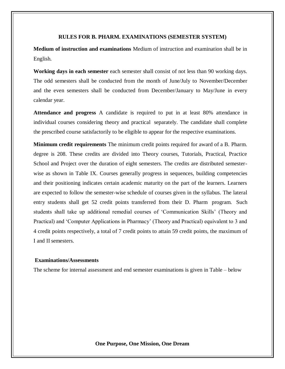#### **RULES FOR B. PHARM. EXAMINATIONS (SEMESTER SYSTEM)**

**Medium of instruction and examinations** Medium of instruction and examination shall be in English.

**Working days in each semester** each semester shall consist of not less than 90 working days. The odd semesters shall be conducted from the month of June/July to November/December and the even semesters shall be conducted from December/January to May/June in every calendar year.

**Attendance and progress** A candidate is required to put in at least 80% attendance in individual courses considering theory and practical separately. The candidate shall complete the prescribed course satisfactorily to be eligible to appear for the respective examinations.

**Minimum credit requirements** The minimum credit points required for award of a B. Pharm. degree is 208. These credits are divided into Theory courses, Tutorials, Practical, Practice School and Project over the duration of eight semesters. The credits are distributed semesterwise as shown in Table IX. Courses generally progress in sequences, building competencies and their positioning indicates certain academic maturity on the part of the learners. Learners are expected to follow the semester-wise schedule of courses given in the syllabus. The lateral entry students shall get 52 credit points transferred from their D. Pharm program. Such students shall take up additional remedial courses of 'Communication Skills' (Theory and Practical) and 'Computer Applications in Pharmacy' (Theory and Practical) equivalent to 3 and 4 credit points respectively, a total of 7 credit points to attain 59 credit points, the maximum of I and II semesters.

#### **Examinations/Assessments**

The scheme for internal assessment and end semester examinations is given in Table – below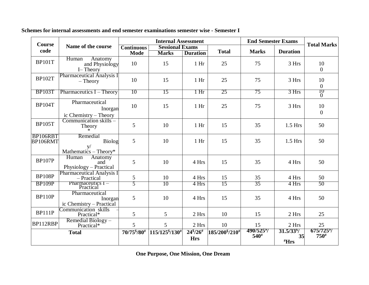| <b>Course</b>        |                                                       | <b>Internal Assessment</b> |                                        |                                  |                    | <b>End Semester Exams</b> | <b>Total Marks</b>                                |                                        |
|----------------------|-------------------------------------------------------|----------------------------|----------------------------------------|----------------------------------|--------------------|---------------------------|---------------------------------------------------|----------------------------------------|
| code                 | Name of the course                                    | <b>Continuous</b><br>Mode  | <b>Sessional Exams</b><br><b>Marks</b> | <b>Duration</b>                  | <b>Total</b>       | <b>Marks</b>              | <b>Duration</b>                                   |                                        |
| <b>BP101T</b>        | Human<br>Anatomy<br>and Physiology<br>I-Theory        | 10                         | 15                                     | 1 <sub>hr</sub>                  | 25                 | 75                        | 3 Hrs                                             | 10<br>$\mathbf{0}$                     |
| <b>BP102T</b>        | <b>Pharmaceutical Analysis I</b><br>$-$ Theory        | 10                         | 15                                     | 1 <sub>hr</sub>                  | 25                 | 75                        | 3 Hrs                                             | 10<br>$\boldsymbol{0}$                 |
| <b>BP103T</b>        | Pharmaceutics I – Theory                              | 10                         | 15                                     | $1 \text{Hr}$                    | 25                 | 75                        | 3 Hrs                                             | 10<br>$\overline{0}$                   |
| <b>BP104T</b>        | Pharmaceutical<br>Inorgan<br>ic Chemistry – Theory    | 10                         | 15                                     | 1 <sub>hr</sub>                  | 25                 | 75                        | 3 Hrs                                             | 10<br>$\mathbf{0}$                     |
| <b>BP105T</b>        | Communication skills -<br>Theory                      | 5                          | 10                                     | 1 <sub>hr</sub>                  | 15                 | 35                        | $1.5$ Hrs                                         | 50                                     |
| BP106RBT<br>BP106RMT | Remedial<br>Biolog<br>V/<br>Mathematics $-$ Theory*   | 5                          | 10                                     | 1 <sub>hr</sub>                  | 15                 | 35                        | $1.5$ Hrs                                         | 50                                     |
| <b>BP107P</b>        | Human<br>Anatomy<br>and<br>Physiology – Practical     | 5                          | 10                                     | 4 Hrs                            | 15                 | 35                        | 4 Hrs                                             | 50                                     |
| <b>BP108P</b>        | <b>Pharmaceutical Analysis I</b><br>- Practical       | 5                          | 10                                     | 4 Hrs                            | 15                 | 35                        | 4 Hrs                                             | 50                                     |
| <b>BP109P</b>        | Pharmaceutics $I -$<br>Practical                      | 5                          | 10                                     | 4 Hrs                            | 15                 | 35                        | 4 Hrs                                             | 50                                     |
| <b>BP110P</b>        | Pharmaceutical<br>Inorgan<br>ic Chemistry - Practical | 5                          | 10                                     | 4 Hrs                            | 15                 | 35                        | 4 Hrs                                             | 50                                     |
| <b>BP111P</b>        | Communication skills<br>Practical*                    | 5                          | 5                                      | 2 Hrs                            | 10                 | 15                        | 2 Hrs                                             | 25                                     |
| BP112RBP             | Remedial Biology-<br>Practical*                       | 5                          | 5                                      | 2 Hrs                            | 10                 | 15                        | 2 Hrs                                             | 25                                     |
|                      | <b>Total</b>                                          | 70/75 \$/80#               | 115/125 \$/130#                        | $24\frac{8}{26}$ #<br><b>Hrs</b> | 185/200 \$ / 210 # | 490/525*/<br>$540^{#}$    | $31.5/33$ <sup>\$</sup> /<br>35<br>$H$ <b>Hrs</b> | $675/725$ <sup>y</sup> /<br>$750^{\#}$ |

**Schemes for internal assessments and end semester examinations semester wise - Semester I**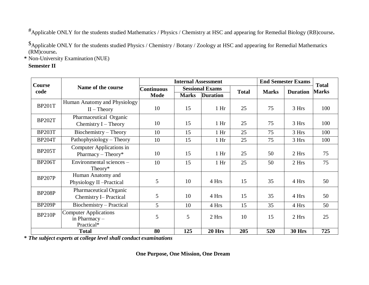#Applicable ONLY for the students studied Mathematics / Physics / Chemistry at HSC and appearing for Remedial Biology (RB)course**.**

\$Applicable ONLY for the students studied Physics / Chemistry / Botany / Zoology at HSC and appearing for Remedial Mathematics (RM)course**.**

**\*** Non-University Examination (NUE)

## **Semester II**

| Course        |                              |                   | <b>Internal Assessment</b> |                        |              | <b>End Semester Exams</b> |                 | <b>Total</b> |
|---------------|------------------------------|-------------------|----------------------------|------------------------|--------------|---------------------------|-----------------|--------------|
| code          | Name of the course           | <b>Continuous</b> |                            | <b>Sessional Exams</b> | <b>Total</b> | <b>Marks</b>              | <b>Duration</b> | <b>Marks</b> |
|               |                              | Mode              | <b>Marks</b>               | <b>Duration</b>        |              |                           |                 |              |
| <b>BP201T</b> | Human Anatomy and Physiology |                   |                            |                        |              |                           |                 |              |
|               | $II$ – Theory                | 10                | 15                         | 1 <sub>hr</sub>        | 25           | 75                        | 3 Hrs           | 100          |
| <b>BP202T</b> | Pharmaceutical Organic       |                   |                            |                        |              |                           |                 |              |
|               | Chemistry $I$ – Theory       | 10                | 15                         | 1 <sub>hr</sub>        | 25           | 75                        | 3 Hrs           | 100          |
| <b>BP203T</b> | Biochemistry – Theory        | 10                | 15                         | 1 <sub>hr</sub>        | 25           | 75                        | 3 Hrs           | 100          |
| <b>BP204T</b> | Pathophysiology - Theory     | 10                | 15                         | 1 <sub>hr</sub>        | 25           | 75                        | 3 Hrs           | 100          |
| <b>BP205T</b> | Computer Applications in     |                   |                            |                        |              |                           |                 |              |
|               | Pharmacy – Theory*           | 10                | 15                         | 1 <sub>hr</sub>        | 25           | 50                        | 2 Hrs           | 75           |
| <b>BP206T</b> | Environmental sciences -     | 10                | 15                         | 1 <sub>hr</sub>        | 25           | 50                        | 2 Hrs           | 75           |
|               | Theory*                      |                   |                            |                        |              |                           |                 |              |
| <b>BP207P</b> | Human Anatomy and            |                   |                            |                        |              |                           |                 |              |
|               | Physiology II -Practical     | 5                 | 10                         | 4 Hrs                  | 15           | 35                        | 4 Hrs           | 50           |
| <b>BP208P</b> | Pharmaceutical Organic       |                   |                            |                        |              |                           |                 |              |
|               | <b>Chemistry I-Practical</b> | 5                 | 10                         | 4 Hrs                  | 15           | 35                        | 4 Hrs           | 50           |
| <b>BP209P</b> | Biochemistry – Practical     | 5                 | 10                         | 4 Hrs                  | 15           | 35                        | 4 Hrs           | 50           |
| <b>BP210P</b> | <b>Computer Applications</b> |                   |                            |                        |              |                           |                 |              |
|               | in Pharmacy -                | 5                 | 5                          | 2 Hrs                  | 10           | 15                        | 2 Hrs           | 25           |
|               | Practical*                   |                   |                            |                        |              |                           |                 |              |
|               | <b>Total</b>                 | 80                | 125                        | 20 Hrs                 | 205          | 520                       | <b>30 Hrs</b>   | 725          |

**\*** *The subject experts at college level shall conduct examinations*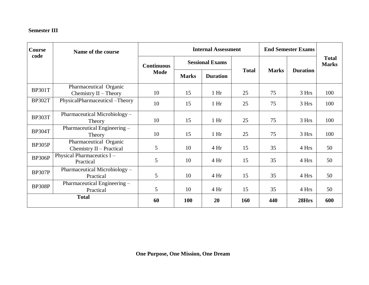## **Semester III**

| <b>Course</b><br>code | Name of the course                                 | <b>Internal Assessment</b> |              |                        |              | <b>End Semester Exams</b> |                 |                              |
|-----------------------|----------------------------------------------------|----------------------------|--------------|------------------------|--------------|---------------------------|-----------------|------------------------------|
|                       |                                                    | <b>Continuous</b>          |              | <b>Sessional Exams</b> |              |                           | <b>Duration</b> | <b>Total</b><br><b>Marks</b> |
|                       |                                                    | <b>Mode</b>                | <b>Marks</b> | <b>Duration</b>        | <b>Total</b> | <b>Marks</b>              |                 |                              |
| <b>BP301T</b>         | Pharmaceutical Organic<br>Chemistry $II$ – Theory  | 10                         | 15           | 1 <sub>hr</sub>        | 25           | 75                        | 3 Hrs           | 100                          |
| <b>BP302T</b>         | PhysicalPharmaceuticsI-Theory                      | 10                         | 15           | 1 <sub>hr</sub>        | 25           | 75                        | 3 Hrs           | 100                          |
| <b>BP303T</b>         | Pharmaceutical Microbiology –<br>Theory            | 10                         | 15           | 1 Hr                   | 25           | 75                        | 3 Hrs           | 100                          |
| <b>BP304T</b>         | Pharmaceutical Engineering -<br>Theory             | 10                         | 15           | 1 <sub>hr</sub>        | 25           | 75                        | 3 Hrs           | 100                          |
| <b>BP305P</b>         | Pharmaceutical Organic<br>Chemistry II - Practical | 5                          | 10           | 4Hr                    | 15           | 35                        | 4 Hrs           | 50                           |
| <b>BP306P</b>         | Physical Pharmaceutics I-<br>Practical             | 5                          | 10           | 4Hr                    | 15           | 35                        | 4 Hrs           | 50                           |
| <b>BP307P</b>         | Pharmaceutical Microbiology -<br>Practical         | 5                          | 10           | 4Hr                    | 15           | 35                        | 4 Hrs           | 50                           |
| <b>BP308P</b>         | Pharmaceutical Engineering –<br>Practical          | 5                          | 10           | 4Hr                    | 15           | 35                        | 4 Hrs           | 50                           |
|                       | <b>Total</b>                                       | 60                         | <b>100</b>   | 20                     | 160          | 440                       | 28Hrs           | 600                          |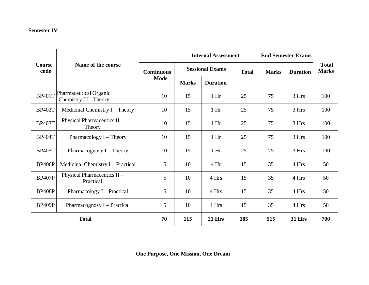# **Semester IV**

|                       |                                                |      |                                             | <b>Internal Assessment</b> |              | <b>End Semester Exams</b> |                 |                              |
|-----------------------|------------------------------------------------|------|---------------------------------------------|----------------------------|--------------|---------------------------|-----------------|------------------------------|
| <b>Course</b><br>code | Name of the course                             |      | <b>Sessional Exams</b><br><b>Continuous</b> |                            | <b>Total</b> | <b>Marks</b>              | <b>Duration</b> | <b>Total</b><br><b>Marks</b> |
|                       |                                                | Mode | <b>Marks</b>                                | <b>Duration</b>            |              |                           |                 |                              |
| <b>BP401T</b>         | Pharmaceutical Organic<br>Chemistry III-Theory | 10   | 15                                          | 1 <sub>hr</sub>            | 25           | 75                        | 3 Hrs           | 100                          |
| <b>BP402T</b>         | Medicinal Chemistry $I - Theory$               | 10   | 15                                          | 1 <sub>hr</sub>            | 25           | 75                        | 3 Hrs           | 100                          |
| <b>BP403T</b>         | Physical Pharmaceutics II -<br>Theory          | 10   | 15                                          | 1 <sub>hr</sub>            | 25           | 75                        | 3 Hrs           | 100                          |
| <b>BP404T</b>         | Pharmacology I - Theory                        | 10   | 15                                          | 1 <sub>hr</sub>            | 25           | 75                        | 3 Hrs           | 100                          |
| <b>BP405T</b>         | Pharmacognosy $I$ – Theory                     | 10   | 15                                          | 1 <sub>hr</sub>            | 25           | 75                        | 3 Hrs           | 100                          |
| <b>BP406P</b>         | Medicinal Chemistry I – Practical              | 5    | 10                                          | 4 Hr                       | 15           | 35                        | 4 Hrs           | 50                           |
| <b>BP407P</b>         | Physical Pharmaceutics II-<br>Practical        | 5    | 10                                          | 4 Hrs                      | 15           | 35                        | 4 Hrs           | 50                           |
| <b>BP408P</b>         | Pharmacology I - Practical                     | 5    | 10                                          | 4 Hrs                      | 15           | 35                        | 4 Hrs           | 50                           |
| <b>BP409P</b>         | Pharmacognosy I – Practical                    | 5    | 10                                          | 4 Hrs                      | 15           | 35                        | 4 Hrs           | 50                           |
|                       | <b>Total</b>                                   | 70   | 115                                         | <b>21 Hrs</b>              | 185          | 515                       | <b>31 Hrs</b>   | 700                          |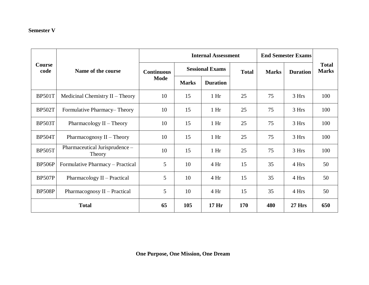## **Semester V**

|                       |                                          |                   |              | <b>Internal Assessment</b> |            | <b>End Semester Exams</b> |                 |                              |
|-----------------------|------------------------------------------|-------------------|--------------|----------------------------|------------|---------------------------|-----------------|------------------------------|
| <b>Course</b><br>code | Name of the course                       | <b>Continuous</b> |              | <b>Sessional Exams</b>     |            | <b>Marks</b>              | <b>Duration</b> | <b>Total</b><br><b>Marks</b> |
|                       |                                          | <b>Mode</b>       | <b>Marks</b> | <b>Duration</b>            |            |                           |                 |                              |
| <b>BP501T</b>         | Medicinal Chemistry $II$ – Theory        | 10                | 15           | $1$ Hr                     | 25         | 75                        | 3 Hrs           | 100                          |
| <b>BP502T</b>         | Formulative Pharmacy–Theory              | 10                | 15           | 1 <sub>hr</sub>            | 25         | 75                        | 3 Hrs           | 100                          |
| <b>BP503T</b>         | Pharmacology $II$ – Theory               | 10                | 15           | 1 <sub>hr</sub>            | 25         | 75                        | 3 Hrs           | 100                          |
| <b>BP504T</b>         | Pharmacognosy $II$ – Theory              | 10                | 15           | 1 <sub>hr</sub>            | 25         | 75                        | 3 Hrs           | 100                          |
| <b>BP505T</b>         | Pharmaceutical Jurisprudence -<br>Theory | 10                | 15           | 1 <sub>hr</sub>            | 25         | 75                        | 3 Hrs           | 100                          |
| <b>BP506P</b>         | Formulative Pharmacy - Practical         | 5                 | 10           | 4 Hr                       | 15         | 35                        | 4 Hrs           | 50                           |
| <b>BP507P</b>         | Pharmacology II - Practical              | 5                 | 10           | 4 Hr                       | 15         | 35                        | 4 Hrs           | 50                           |
| <b>BP508P</b>         | Pharmacognosy II – Practical             | 5                 | 10           | 4 Hr                       | 15         | 35                        | 4 Hrs           | 50                           |
|                       | <b>Total</b>                             | 65                | 105          | 17 <sub>hr</sub>           | <b>170</b> | 480                       | <b>27 Hrs</b>   | 650                          |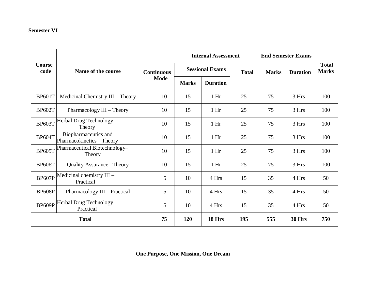## **Semester VI**

|                       |                                                   | <b>Internal Assessment</b><br><b>End Semester Exams</b> |              |                        |     |              |                 |                              |
|-----------------------|---------------------------------------------------|---------------------------------------------------------|--------------|------------------------|-----|--------------|-----------------|------------------------------|
| <b>Course</b><br>code | Name of the course                                | <b>Continuous</b>                                       |              | <b>Sessional Exams</b> |     | <b>Marks</b> | <b>Duration</b> | <b>Total</b><br><b>Marks</b> |
|                       |                                                   | Mode                                                    | <b>Marks</b> | <b>Duration</b>        |     |              |                 |                              |
| <b>BP601T</b>         | Medicinal Chemistry III - Theory                  | 10                                                      | 15           | 1 <sub>hr</sub>        | 25  | 75           | 3 Hrs           | 100                          |
| <b>BP602T</b>         | Pharmacology III - Theory                         | 10                                                      | 15           | 1 <sub>hr</sub>        | 25  | 75           | 3 Hrs           | 100                          |
| <b>BP603T</b>         | Herbal Drug Technology -<br>Theory                | 10                                                      | 15           | 1 <sub>hr</sub>        | 25  | 75           | 3 Hrs           | 100                          |
| <b>BP604T</b>         | Biopharmaceutics and<br>Pharmacokinetics - Theory | 10                                                      | 15           | 1 <sub>hr</sub>        | 25  | 75           | 3 Hrs           | 100                          |
| <b>BP605T</b>         | Pharmaceutical Biotechnology-<br>Theory           | 10                                                      | 15           | 1 <sub>hr</sub>        | 25  | 75           | 3 Hrs           | 100                          |
| <b>BP606T</b>         | <b>Quality Assurance– Theory</b>                  | 10                                                      | 15           | 1 <sub>hr</sub>        | 25  | 75           | 3 Hrs           | 100                          |
| <b>BP607P</b>         | Medicinal chemistry III -<br>Practical            | 5                                                       | 10           | 4 Hrs                  | 15  | 35           | 4 Hrs           | 50                           |
| <b>BP608P</b>         | Pharmacology III - Practical                      | 5                                                       | 10           | 4 Hrs                  | 15  | 35           | 4 Hrs           | 50                           |
| BP609P                | Herbal Drug Technology -<br>Practical             | 5                                                       | 10           | 4 Hrs                  | 15  | 35           | 4 Hrs           | 50                           |
|                       | <b>Total</b>                                      | 75                                                      | 120          | 18 Hrs                 | 195 | 555          | <b>30 Hrs</b>   | 750                          |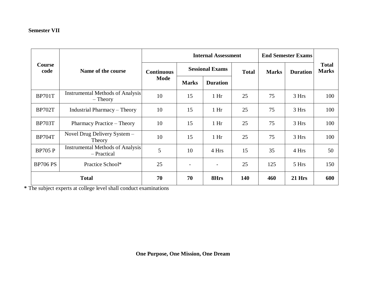## **Semester VII**

|                 |                                                        |                   |                          | <b>Internal Assessment</b> |              | <b>End Semester Exams</b> |                         |                              |
|-----------------|--------------------------------------------------------|-------------------|--------------------------|----------------------------|--------------|---------------------------|-------------------------|------------------------------|
| Course<br>code  | Name of the course                                     | <b>Continuous</b> | <b>Sessional Exams</b>   |                            | <b>Total</b> | <b>Marks</b>              | <b>Duration</b>         | <b>Total</b><br><b>Marks</b> |
|                 |                                                        | Mode              | <b>Marks</b>             | <b>Duration</b>            |              |                           | 3 Hrs<br>3 Hrs<br>3 Hrs |                              |
| <b>BP701T</b>   | <b>Instrumental Methods of Analysis</b><br>$-$ Theory  | 10                | 15                       | 1 <sub>hr</sub>            | 25           | 75                        |                         | 100                          |
| <b>BP702T</b>   | <b>Industrial Pharmacy – Theory</b>                    | 10                | 15                       | 1 <sub>hr</sub>            | 25           | 75                        |                         | 100                          |
| <b>BP703T</b>   | Pharmacy Practice – Theory                             | 10                | 15                       | 1 <sub>hr</sub>            | 25           | 75                        |                         | 100                          |
| <b>BP704T</b>   | Novel Drug Delivery System -<br>Theory                 | 10                | 15                       | 1 <sub>hr</sub>            | 25           | 75                        | 3 Hrs                   | 100                          |
| <b>BP705 P</b>  | <b>Instrumental Methods of Analysis</b><br>- Practical | 5                 | 10                       | 4 Hrs                      | 15           | 35                        | 4 Hrs                   | 50                           |
| <b>BP706 PS</b> | Practice School*                                       | 25                | $\overline{\phantom{a}}$ |                            | 25           | 125                       | 5 Hrs                   | 150                          |
|                 | <b>Total</b>                                           | 70                | 70                       | 8Hrs                       | 140          | 460                       | 21 Hrs                  | 600                          |

**\*** The subject experts at college level shall conduct examinations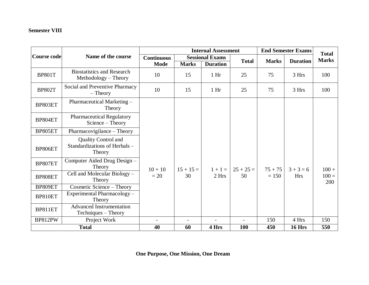## **Semester VIII**

|                    |                                                                       |                                  | <b>Internal Assessment</b><br><b>End Semester Exams</b> |                                           |              |              |                 | <b>Total</b>   |
|--------------------|-----------------------------------------------------------------------|----------------------------------|---------------------------------------------------------|-------------------------------------------|--------------|--------------|-----------------|----------------|
| <b>Course code</b> | Name of the course                                                    | <b>Continuous</b><br><b>Mode</b> | <b>Marks</b>                                            | <b>Sessional Exams</b><br><b>Duration</b> | <b>Total</b> | <b>Marks</b> | <b>Duration</b> | <b>Marks</b>   |
| <b>BP801T</b>      | <b>Biostatistics and Research</b><br>Methodology – Theory             | 10                               | 15                                                      | 1 <sub>hr</sub>                           | 25           | 75           | 3 Hrs           | 100            |
| <b>BP802T</b>      | Social and Preventive Pharmacy<br>$-$ Theory                          | 10                               | 15                                                      | 1 <sub>hr</sub>                           | 25           | 75           | 3 Hrs           | 100            |
| BP803ET            | Pharmaceutical Marketing -<br>Theory                                  |                                  |                                                         |                                           |              |              |                 |                |
| BP804ET            | <b>Pharmaceutical Regulatory</b><br>$Science - Theory$                |                                  |                                                         |                                           |              |              |                 |                |
| BP805ET            | Pharmacovigilance - Theory                                            |                                  |                                                         |                                           |              |              |                 |                |
| BP806ET            | <b>Quality Control and</b><br>Standardizations of Herbals -<br>Theory |                                  |                                                         |                                           |              |              |                 |                |
| BP807ET            | Computer Aided Drug Design -<br>Theory                                | $10 + 10$                        | $15 + 15 =$                                             | $1 + 1 =$                                 | $25 + 25 =$  | $75 + 75$    | $3 + 3 = 6$     | $100 +$        |
| BP808ET            | Cell and Molecular Biology -<br>Theory                                | $=20$                            | 30                                                      | 2 Hrs                                     | 50           | $= 150$      | <b>Hrs</b>      | $100 =$<br>200 |
| BP809ET            | Cosmetic Science - Theory                                             |                                  |                                                         |                                           |              |              |                 |                |
| BP810ET            | Experimental Pharmacology -<br>Theory                                 |                                  |                                                         |                                           |              |              |                 |                |
| BP811ET            | <b>Advanced Instrumentation</b><br>Techniques – Theory                |                                  |                                                         |                                           |              |              |                 |                |
| BP812PW            | Project Work                                                          | $\overline{\phantom{a}}$         |                                                         | $\overline{a}$                            |              | 150          | 4 Hrs           | 150            |
|                    | <b>Total</b>                                                          | 40                               | 60                                                      | 4 Hrs                                     | <b>100</b>   | 450          | <b>16 Hrs</b>   | 550            |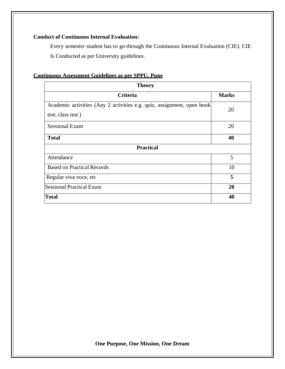## **Conduct of Continuous Internal Evaluation:**

Every semester student has to go through the Continuous Internal Evaluation (CIE). CIE Is Conducted as per University guidelines.

## **Continuous Assessment Guidelines as per SPPU, Pune**

| <b>Theory</b>                                                                               |              |  |  |
|---------------------------------------------------------------------------------------------|--------------|--|--|
| Criteria                                                                                    | <b>Marks</b> |  |  |
| Academic activities (Any 2 activities e.g. quiz, assignment, open book<br>test, class test) | 20           |  |  |
| <b>Sessional Exam</b>                                                                       | 20           |  |  |
| <b>Total</b>                                                                                | 40           |  |  |
| <b>Practical</b>                                                                            |              |  |  |
| Attendance                                                                                  | 5            |  |  |
| <b>Based on Practical Records</b>                                                           | 10           |  |  |
| Regular viva voce, etc                                                                      | 5            |  |  |
| <b>Sessional Practical Exam</b>                                                             | 20           |  |  |
| Total                                                                                       | 40           |  |  |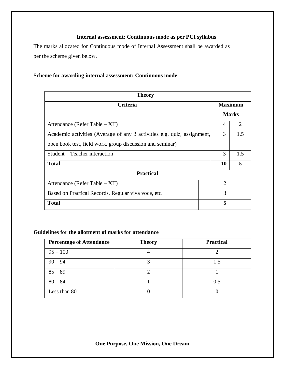## **Internal assessment: Continuous mode as per PCI syllabus**

The marks allocated for Continuous mode of Internal Assessment shall be awarded as per the scheme given below.

## **Scheme for awarding internal assessment: Continuous mode**

| <b>Theory</b>                                                           |                |                             |  |  |  |
|-------------------------------------------------------------------------|----------------|-----------------------------|--|--|--|
| <b>Criteria</b>                                                         |                | <b>Maximum</b>              |  |  |  |
|                                                                         |                | <b>Marks</b>                |  |  |  |
| Attendance (Refer Table – XII)                                          | 4              | $\mathcal{D}_{\mathcal{L}}$ |  |  |  |
| Academic activities (Average of any 3 activities e.g. quiz, assignment, | 3              | 1.5                         |  |  |  |
| open book test, field work, group discussion and seminar)               |                |                             |  |  |  |
| Student – Teacher interaction                                           | 3              | 1.5                         |  |  |  |
| <b>Total</b>                                                            | 10             | 5                           |  |  |  |
| <b>Practical</b>                                                        |                |                             |  |  |  |
| Attendance (Refer Table – XII)                                          | $\overline{2}$ |                             |  |  |  |
| Based on Practical Records, Regular viva voce, etc.                     | 3              |                             |  |  |  |
| <b>Total</b>                                                            | 5              |                             |  |  |  |

### **Guidelines for the allotment of marks for attendance**

| <b>Percentage of Attendance</b> | <b>Theory</b> | <b>Practical</b> |
|---------------------------------|---------------|------------------|
| $95 - 100$                      |               |                  |
| $90 - 94$                       |               | 1.5              |
| $85 - 89$                       |               |                  |
| $80 - 84$                       |               | 0.5              |
| Less than 80                    |               |                  |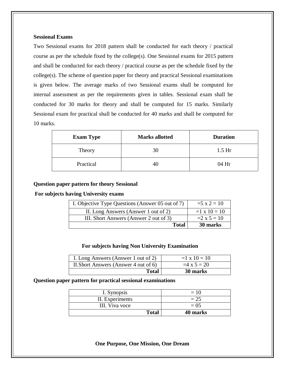## **Sessional Exams**

Two Sessional exams for 2018 pattern shall be conducted for each theory / practical course as per the schedule fixed by the college(s). One Sessional exams for 2015 pattern and shall be conducted for each theory / practical course as per the schedule fixed by the college(s). The scheme of question paper for theory and practical Sessional examinations is given below. The average marks of two Sessional exams shall be computed for internal assessment as per the requirements given in tables. Sessional exam shall be conducted for 30 marks for theory and shall be computed for 15 marks. Similarly Sessional exam for practical shall be conducted for 40 marks and shall be computed for 10 marks.

| <b>Exam Type</b> | <b>Marks allotted</b> | <b>Duration</b> |
|------------------|-----------------------|-----------------|
| Theory           | 30                    | $1.5$ Hr        |
| Practical        |                       | $04$ Hr         |

#### **Question paper pattern for theory Sessional**

#### **For subjects having University exams**

| I. Objective Type Questions (Answer 05 out of 7) | $=5 \times 2 = 10$  |
|--------------------------------------------------|---------------------|
| II. Long Answers (Answer 1 out of 2)             | $=1 \times 10 = 10$ |
| III. Short Answers (Answer 2 out of 3)           | $=2 \times 5 = 10$  |
| Total                                            | 30 marks            |

#### **For subjects having Non University Examination**

| I. Long Answers (Answer 1 out of 2)   | $=1 \times 10 = 10$ |
|---------------------------------------|---------------------|
| II. Short Answers (Answer 4 out of 6) | $=4 \times 5 = 20$  |
| <b>Total</b>                          | 30 marks            |

#### **Question paper pattern for practical sessional examinations**

| I. Synopsis     | $= 10$   |
|-----------------|----------|
| II. Experiments | $= 25$   |
| III. Viva voce  | $= 0.5$  |
| <b>Total</b>    | 40 marks |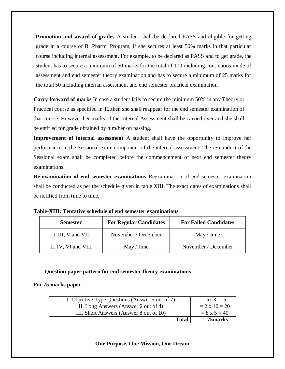**Promotion and award of grades** A student shall be declared PASS and eligible for getting grade in a course of B .Pharm. Program, if she secures at least 50% marks in that particular course including internal assessment. For example, to be declared as PASS and to get grade, the student has to secure a minimum of 50 marks for the total of 100 including continuous mode of assessment and end semester theory examination and has to secure a minimum of 25 marks for the total 50 including internal assessment and end semester practical examination.

**Carry forward of marks** In case a student fails to secure the minimum 50% in any Theory or Practical course as specified in 12,then she shall reappear for the end semester examination of that course. However her marks of the Internal Assessment shall be carried over and she shall be entitled for grade obtained by him/her on passing.

**Improvement of internal assessment** A student shall have the opportunity to improve her performance in the Sessional exam component of the internal assessment. The re-conduct of the Sessional exam shall be completed before the commencement of next end semester theory examinations.

**Re-examination of end semester examinations** Reexamination of end semester examination shall be conducted as per the schedule given in table XIII. The exact dates of examinations shall be notified from time to time.

| <b>Semester</b>     | <b>For Regular Candidates</b> | <b>For Failed Candidates</b> |
|---------------------|-------------------------------|------------------------------|
| I, III, V and VII   | November / December           | May / June                   |
| II, IV, VI and VIII | May / June                    | November / December          |

### **Question paper pattern for end semester theory examinations**

### **For 75 marks paper**

| I. Objective Type Questions (Answer 5 out of 7) | $=5x$ 3= 15          |
|-------------------------------------------------|----------------------|
| II. Long Answers (Answer 2 out of 4)            | $= 2 \times 10 = 20$ |
| III. Short Answers (Answer 8 out of 10)         | $= 8 \times 5 = 40$  |
| <b>Total</b>                                    | $= 75$ marks         |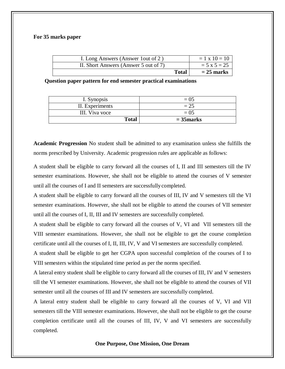#### **For 35 marks paper**

| I. Long Answers (Answer 1 out of 2)   |              | $= 1 \times 10 = 10$ |
|---------------------------------------|--------------|----------------------|
| II. Short Answers (Answer 5 out of 7) |              | $= 5 \times 5 = 25$  |
|                                       | <b>Total</b> | $= 25$ marks         |

**Question paper pattern for end semester practical examinations**

| III. Viva voce<br><b>Total</b> | $= 0.5$<br>$= 35$ marks |
|--------------------------------|-------------------------|
|                                |                         |
| II. Experiments                | $= 25$                  |
| I. Synopsis                    | $= 0.5$                 |

**Academic Progression** No student shall be admitted to any examination unless she fulfills the norms prescribed by University. Academic progression rules are applicable as follows:

A student shall be eligible to carry forward all the courses of I, II and III semesters till the IV semester examinations. However, she shall not be eligible to attend the courses of V semester until all the courses of I and II semesters are successfully completed.

A student shall be eligible to carry forward all the courses of III, IV and V semesters till the VI semester examinations. However, she shall not be eligible to attend the courses of VII semester until all the courses of I, II, III and IV semesters are successfully completed.

A student shall be eligible to carry forward all the courses of V, VI and VII semesters till the VIII semester examinations. However, she shall not be eligible to get the course completion certificate until all the courses of I, II, III, IV, V and VI semesters are successfully completed.

A student shall be eligible to get her CGPA upon successful completion of the courses of I to VIII semesters within the stipulated time period as per the norms specified.

A lateral entry student shall be eligible to carry forward all the courses of III, IV and V semesters till the VI semester examinations. However, she shall not be eligible to attend the courses of VII semester until all the courses of III and IV semesters are successfully completed.

A lateral entry student shall be eligible to carry forward all the courses of V, VI and VII semesters till the VIII semester examinations. However, she shall not be eligible to get the course completion certificate until all the courses of III, IV, V and VI semesters are successfully completed.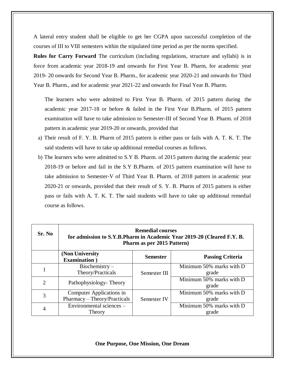A lateral entry student shall be eligible to get her CGPA upon successful completion of the courses of III to VIII semesters within the stipulated time period as per the norms specified.

**Rules for Carry Forward** The curriculum (including regulations, structure and syllabi) is in force from academic year 2018-19 and onwards for First Year B. Pharm, for academic year 2019- 20 onwards for Second Year B. Pharm., for academic year 2020-21 and onwards for Third Year B. Pharm., and for academic year 2021-22 and onwards for Final Year B. Pharm.

The learners who were admitted to First Year B. Pharm. of 2015 pattern during the academic year 2017-18 or before & failed in the First Year B.Pharm. of 2015 pattern examination will have to take admission to Semester-III of Second Year B. Pharm. of 2018 pattern in academic year 2019-20 or onwards, provided that

- a) Their result of F. Y. B. Pharm of 2015 pattern is either pass or fails with A. T. K. T. The said students will have to take up additional remedial courses as follows.
- b) The learners who were admitted to S.Y B. Pharm. of 2015 pattern during the academic year 2018-19 or before and fail in the S.Y B.Pharm. of 2015 pattern examination will have to take admission to Semester-V of Third Year B. Pharm. of 2018 pattern in academic year 2020-21 or onwards, provided that their result of S. Y. B. Pharm of 2015 pattern is either pass or fails with A. T. K. T. The said students will have to take up additional remedial course as follows.

| Sr. No | <b>Remedial courses</b><br>for admission to S.Y.B.Pharm in Academic Year 2019-20 (Cleared F.Y. B.<br>Pharm as per 2015 Pattern) |                 |                                   |  |
|--------|---------------------------------------------------------------------------------------------------------------------------------|-----------------|-----------------------------------|--|
|        | (Non University)<br><b>Examination</b> )                                                                                        | <b>Semester</b> | <b>Passing Criteria</b>           |  |
|        | Biochemistry-<br>Theory/Practicals                                                                                              | Semester III    | Minimum 50% marks with D<br>grade |  |
| 2      | Pathophysiology-Theory                                                                                                          |                 | Minimum 50% marks with D<br>grade |  |
| 3      | Computer Applications in<br>Pharmacy - Theory/Practicals                                                                        | Semester IV     | Minimum 50% marks with D<br>grade |  |
| 4      | Environmental sciences -<br>Theory                                                                                              |                 | Minimum 50% marks with D<br>grade |  |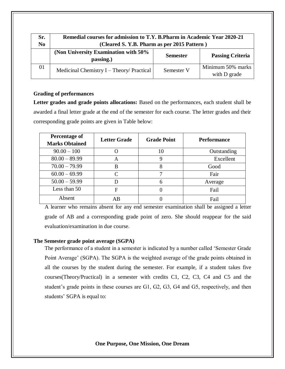| Sr.<br>N <sub>0</sub> | Remedial courses for admission to T.Y. B.Pharm in Academic Year 2020-21<br>(Cleared S. Y.B. Pharm as per 2015 Pattern) |                 |                                   |
|-----------------------|------------------------------------------------------------------------------------------------------------------------|-----------------|-----------------------------------|
|                       | (Non University Examination with 50%)<br>passing.)                                                                     | <b>Semester</b> | <b>Passing Criteria</b>           |
| 01                    | Medicinal Chemistry I – Theory/ Practical                                                                              | Semester V      | Minimum 50% marks<br>with D grade |

#### **Grading of performances**

Letter grades and grade points allocations: Based on the performances, each student shall be awarded a final letter grade at the end of the semester for each course. The letter grades and their corresponding grade points are given in Table below:

| Percentage of<br><b>Marks Obtained</b> | <b>Letter Grade</b> | <b>Grade Point</b> | <b>Performance</b> |
|----------------------------------------|---------------------|--------------------|--------------------|
| $90.00 - 100$                          |                     | 10                 | Outstanding        |
| $80.00 - 89.99$                        | A                   | 9                  | Excellent          |
| $70.00 - 79.99$                        | B                   | 8                  | Good               |
| $60.00 - 69.99$                        | $\mathsf{\Gamma}$   |                    | Fair               |
| $50.00 - 59.99$                        |                     | 6                  | Average            |
| Less than 50                           | F                   | 0                  | Fail               |
| Absent                                 | AB                  |                    | Fail               |

A learner who remains absent for any end semester examination shall be assigned a letter grade of AB and a corresponding grade point of zero. She should reappear for the said evaluation/examination in due course.

### **The Semester grade point average (SGPA)**

The performance of a student in a semester is indicated by a number called 'Semester Grade Point Average' (SGPA). The SGPA is the weighted average of the grade points obtained in all the courses by the student during the semester. For example, if a student takes five courses(Theory/Practical) in a semester with credits C1, C2, C3, C4 and C5 and the student's grade points in these courses are G1, G2, G3, G4 and G5, respectively, and then students' SGPA is equal to: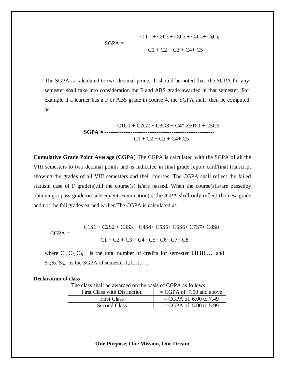$$
G_1G_1 + C_2G_2 + C_3G_3 + C_4G_4 + C_5G_5
$$
  
SGPA = C1 + C2 + C3 + C4 + C5

The SGPA is calculated to two decimal points. It should be noted that, the SGPA for any semester shall take into consideration the F and ABS grade awarded in that semester. For example if a learner has a F or ABS grade in course 4, the SGPA shall then be computed as:

$$
C1G1 + C2G2 + C3G3 + C4* ZERO + C5G5
$$
  
SGPA = 1777  
CI + C2 + C3 + C4 + C5

**Cumulative Grade Point Average (CGPA**) The CGPA is calculated with the SGPA of all the VIII semesters to two decimal points and is indicated in final grade report card/final transcript showing the grades of all VIII semesters and their courses. The CGPA shall reflect the failed statusin case of F grade(s), till the course(s) is/are passed. When the course(s) is/are passed by obtaining a pass grade on subsequent examination(s) theCGPA shall only reflect the new grade and not the fail grades earned earlier.The CGPA is calculated as:

$$
CGPA =
$$
\n
$$
CGPA =
$$
\n
$$
C1S1 + C2S2 + C3S3 + C4S4 + C5S5 + C6S6 + C7S7 + C8S8
$$
\n
$$
C1 + C2 + C3 + C4 + C5 + C6 + C7 + C8
$$

where  $C_1, C_2, C_3,...$  is the total number of credits for semester I,II,III,.... and  $S_1, S_2, S_3, \ldots$  is the SGPA of semester I,II,III,....

#### **Declaration of class**

The class shall be awarded on the basis of CGPA as follows

| First Class with Distinction | $=$ CGPA of. 7.50 and above |
|------------------------------|-----------------------------|
| <b>First Class</b>           | $=$ CGPA of. 6.00 to 7.49   |
| Second Class                 | $=$ CGPA of. 5.00 to 5.99   |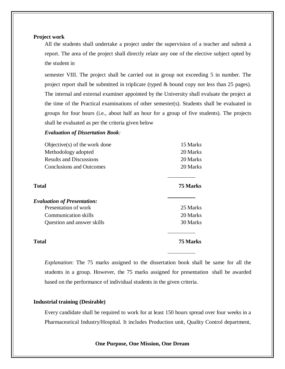#### **Project work**

All the students shall undertake a project under the supervision of a teacher and submit a report. The area of the project shall directly relate any one of the elective subject opted by the student in

semester VIII. The project shall be carried out in group not exceeding 5 in number. The project report shall be submitted in triplicate (typed & bound copy not less than 25 pages). The internal and external examiner appointed by the University shall evaluate the project at the time of the Practical examinations of other semester(s). Students shall be evaluated in groups for four hours (i.e., about half an hour for a group of five students). The projects shall be evaluated as per the criteria given below

#### *Evaluation of Dissertation Book:*

| Objective $(s)$ of the work done   | 15 Marks        |
|------------------------------------|-----------------|
| Methodology adopted                | 20 Marks        |
| <b>Results and Discussions</b>     | 20 Marks        |
| <b>Conclusions and Outcomes</b>    | 20 Marks        |
| Total                              | <b>75 Marks</b> |
| <b>Evaluation of Presentation:</b> |                 |
| Presentation of work               | 25 Marks        |
| <b>Communication skills</b>        | 20 Marks        |
| Question and answer skills         | 30 Marks        |
| Total                              | 75 Marks        |

*Explanation*: The 75 marks assigned to the dissertation book shall be same for all the students in a group. However, the 75 marks assigned for presentation shall be awarded based on the performance of individual students in the given criteria.

#### **Industrial training (Desirable)**

Every candidate shall be required to work for at least 150 hours spread over four weeks in a Pharmaceutical Industry/Hospital. It includes Production unit, Quality Control department,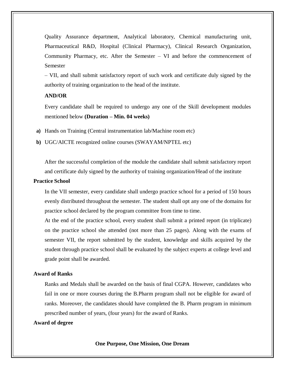Quality Assurance department, Analytical laboratory, Chemical manufacturing unit, Pharmaceutical R&D, Hospital (Clinical Pharmacy), Clinical Research Organization, Community Pharmacy, etc. After the Semester – VI and before the commencement of Semester

– VII, and shall submit satisfactory report of such work and certificate duly signed by the authority of training organization to the head of the institute.

### **AND/OR**

Every candidate shall be required to undergo any one of the Skill development modules mentioned below **(Duration – Min. 04 weeks)**

- **a)** Hands on Training (Central instrumentation lab/Machine room etc)
- **b)** UGC/AICTE recognized online courses (SWAYAM/NPTEL etc)

After the successful completion of the module the candidate shall submit satisfactory report and certificate duly signed by the authority of training organization/Head of the institute

#### **Practice School**

In the VII semester, every candidate shall undergo practice school for a period of 150 hours evenly distributed throughout the semester. The student shall opt any one of the domains for practice school declared by the program committee from time to time.

At the end of the practice school, every student shall submit a printed report (in triplicate) on the practice school she attended (not more than 25 pages). Along with the exams of semester VII, the report submitted by the student, knowledge and skills acquired by the student through practice school shall be evaluated by the subject experts at college level and grade point shall be awarded.

#### **Award of Ranks**

Ranks and Medals shall be awarded on the basis of final CGPA. However, candidates who fail in one or more courses during the B.Pharm program shall not be eligible for award of ranks. Moreover, the candidates should have completed the B. Pharm program in minimum prescribed number of years, (four years) for the award of Ranks.

#### **Award of degree**